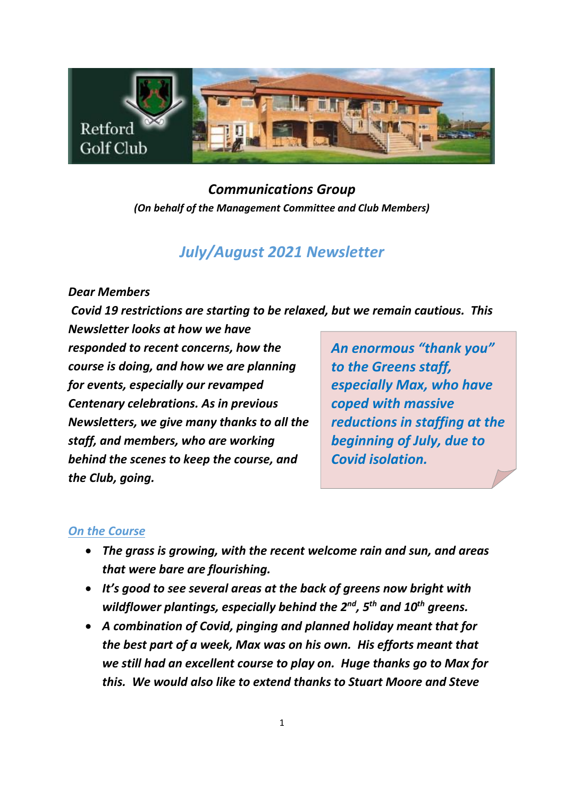

# *Communications Group (On behalf of the Management Committee and Club Members)*

# *July/August 2021 Newsletter*

### *Dear Members*

*Covid 19 restrictions are starting to be relaxed, but we remain cautious. This Newsletter looks at how we have* 

*responded to recent concerns, how the course is doing, and how we are planning for events, especially our revamped Centenary celebrations. As in previous Newsletters, we give many thanks to all the staff, and members, who are working behind the scenes to keep the course, and the Club, going.*

*An enormous "thank you" to the Greens staff, especially Max, who have coped with massive reductions in staffing at the beginning of July, due to Covid isolation.*

## *On the Course*

- *The grass is growing, with the recent welcome rain and sun, and areas that were bare are flourishing.*
- *It's good to see several areas at the back of greens now bright with wildflower plantings, especially behind the 2<sup>nd</sup>, 5<sup>th</sup> and 10<sup>th</sup> greens.*
- *A combination of Covid, pinging and planned holiday meant that for the best part of a week, Max was on his own. His efforts meant that we still had an excellent course to play on. Huge thanks go to Max for this. We would also like to extend thanks to Stuart Moore and Steve*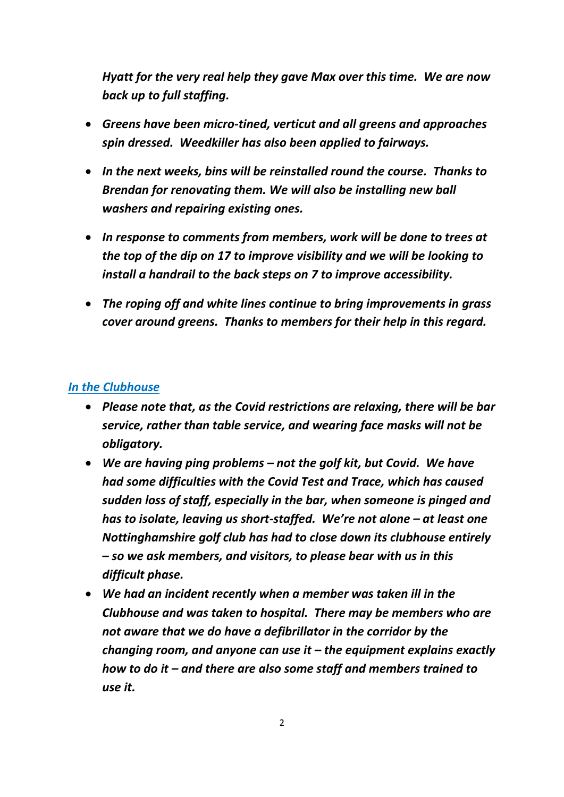*Hyatt for the very real help they gave Max over this time. We are now back up to full staffing.*

- *Greens have been micro-tined, verticut and all greens and approaches spin dressed. Weedkiller has also been applied to fairways.*
- *In the next weeks, bins will be reinstalled round the course. Thanks to Brendan for renovating them. We will also be installing new ball washers and repairing existing ones.*
- *In response to comments from members, work will be done to trees at the top of the dip on 17 to improve visibility and we will be looking to install a handrail to the back steps on 7 to improve accessibility.*
- *The roping off and white lines continue to bring improvements in grass cover around greens. Thanks to members for their help in this regard.*

### *In the Clubhouse*

- *Please note that, as the Covid restrictions are relaxing, there will be bar service, rather than table service, and wearing face masks will not be obligatory.*
- *We are having ping problems – not the golf kit, but Covid. We have had some difficulties with the Covid Test and Trace, which has caused sudden loss of staff, especially in the bar, when someone is pinged and has to isolate, leaving us short-staffed. We're not alone – at least one Nottinghamshire golf club has had to close down its clubhouse entirely – so we ask members, and visitors, to please bear with us in this difficult phase.*
- *We had an incident recently when a member was taken ill in the Clubhouse and was taken to hospital. There may be members who are not aware that we do have a defibrillator in the corridor by the changing room, and anyone can use it – the equipment explains exactly how to do it – and there are also some staff and members trained to use it.*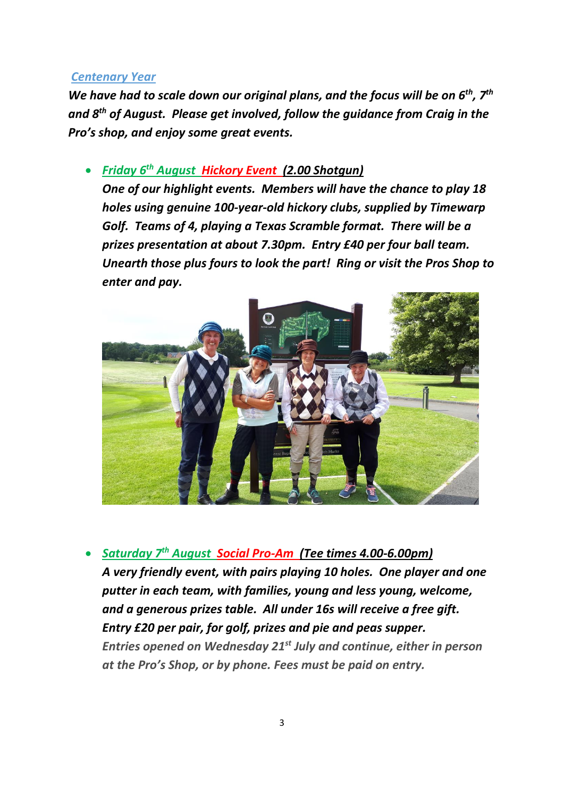#### *Centenary Year*

*We have had to scale down our original plans, and the focus will be on 6th, 7th and 8th of August. Please get involved, follow the guidance from Craig in the Pro's shop, and enjoy some great events.*

## • *Friday 6 th August Hickory Event (2.00 Shotgun)*

*One of our highlight events. Members will have the chance to play 18 holes using genuine 100-year-old hickory clubs, supplied by Timewarp Golf. Teams of 4, playing a Texas Scramble format. There will be a prizes presentation at about 7.30pm. Entry £40 per four ball team. Unearth those plus fours to look the part! Ring or visit the Pros Shop to enter and pay.*



• *Saturday 7 th August Social Pro-Am (Tee times 4.00-6.00pm) A very friendly event, with pairs playing 10 holes. One player and one putter in each team, with families, young and less young, welcome, and a generous prizes table. All under 16s will receive a free gift. Entry £20 per pair, for golf, prizes and pie and peas supper. Entries opened on Wednesday 21st July and continue, either in person at the Pro's Shop, or by phone. Fees must be paid on entry.*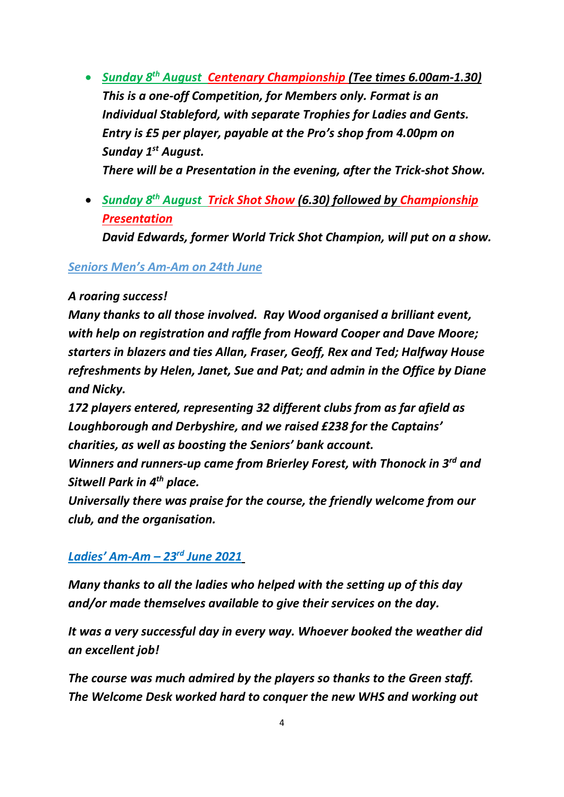- *Sunday 8 th August Centenary Championship (Tee times 6.00am-1.30) This is a one-off Competition, for Members only. Format is an Individual Stableford, with separate Trophies for Ladies and Gents. Entry is £5 per player, payable at the Pro's shop from 4.00pm on Sunday 1st August. There will be a Presentation in the evening, after the Trick-shot Show.*
- *Sunday 8 th August Trick Shot Show (6.30) followed by Championship Presentation*

*David Edwards, former World Trick Shot Champion, will put on a show.*

## *Seniors Men's Am-Am on 24th June*

## *A roaring success!*

*Many thanks to all those involved. Ray Wood organised a brilliant event, with help on registration and raffle from Howard Cooper and Dave Moore; starters in blazers and ties Allan, Fraser, Geoff, Rex and Ted; Halfway House refreshments by Helen, Janet, Sue and Pat; and admin in the Office by Diane and Nicky.*

*172 players entered, representing 32 different clubs from as far afield as Loughborough and Derbyshire, and we raised £238 for the Captains' charities, as well as boosting the Seniors' bank account.*

*Winners and runners-up came from Brierley Forest, with Thonock in 3rd and Sitwell Park in 4th place.*

*Universally there was praise for the course, the friendly welcome from our club, and the organisation.*

# *Ladies' Am-Am – 23rd June 2021*

*Many thanks to all the ladies who helped with the setting up of this day and/or made themselves available to give their services on the day.*

*It was a very successful day in every way. Whoever booked the weather did an excellent job!*

*The course was much admired by the players so thanks to the Green staff. The Welcome Desk worked hard to conquer the new WHS and working out*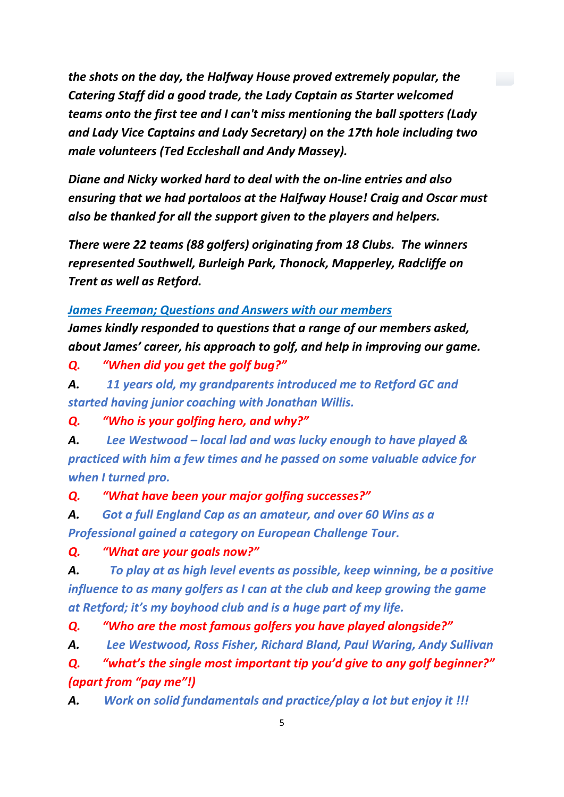*the shots on the day, the Halfway House proved extremely popular, the Catering Staff did a good trade, the Lady Captain as Starter welcomed teams onto the first tee and I can't miss mentioning the ball spotters (Lady and Lady Vice Captains and Lady Secretary) on the 17th hole including two male volunteers (Ted Eccleshall and Andy Massey).*

*Diane and Nicky worked hard to deal with the on-line entries and also ensuring that we had portaloos at the Halfway House! Craig and Oscar must also be thanked for all the support given to the players and helpers.*

*There were 22 teams (88 golfers) originating from 18 Clubs. The winners represented Southwell, Burleigh Park, Thonock, Mapperley, Radcliffe on Trent as well as Retford.*

### *James Freeman; Questions and Answers with our members*

*James kindly responded to questions that a range of our members asked, about James' career, his approach to golf, and help in improving our game.*

*Q. "When did you get the golf bug?"*

*A. 11 years old, my grandparents introduced me to Retford GC and started having junior coaching with Jonathan Willis.*

*Q. "Who is your golfing hero, and why?"*

*A. Lee Westwood – local lad and was lucky enough to have played & practiced with him a few times and he passed on some valuable advice for when I turned pro.*

*Q. "What have been your major golfing successes?"*

*A. Got a full England Cap as an amateur, and over 60 Wins as a Professional gained a category on European Challenge Tour.*

*Q. "What are your goals now?"*

*A. To play at as high level events as possible, keep winning, be a positive influence to as many golfers as I can at the club and keep growing the game at Retford; it's my boyhood club and is a huge part of my life.*

*Q. "Who are the most famous golfers you have played alongside?"*

*A. Lee Westwood, Ross Fisher, Richard Bland, Paul Waring, Andy Sullivan*

*Q. "what's the single most important tip you'd give to any golf beginner?" (apart from "pay me"!)*

*A. Work on solid fundamentals and practice/play a lot but enjoy it !!!*